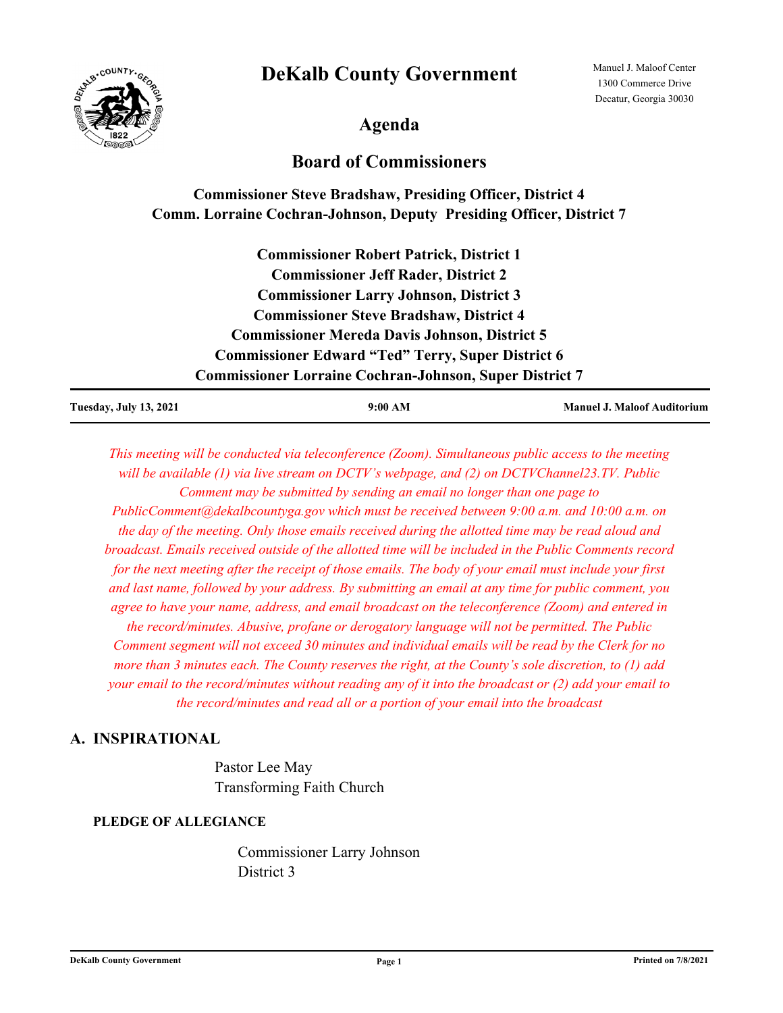# **DeKalb County Government**



Manuel J. Maloof Center 1300 Commerce Drive Decatur, Georgia 30030

**Agenda**

# **Board of Commissioners**

# **Commissioner Steve Bradshaw, Presiding Officer, District 4 Comm. Lorraine Cochran-Johnson, Deputy Presiding Officer, District 7**

**Commissioner Robert Patrick, District 1 Commissioner Jeff Rader, District 2 Commissioner Larry Johnson, District 3 Commissioner Steve Bradshaw, District 4 Commissioner Mereda Davis Johnson, District 5 Commissioner Edward "Ted" Terry, Super District 6 Commissioner Lorraine Cochran-Johnson, Super District 7**

| <b>Tuesday, July 13, 2021</b> | 9:00 AM | <b>Manuel J. Maloof Auditorium</b> |
|-------------------------------|---------|------------------------------------|
|                               |         |                                    |

*This meeting will be conducted via teleconference (Zoom). Simultaneous public access to the meeting will be available (1) via live stream on DCTV's webpage, and (2) on DCTVChannel23.TV. Public Comment may be submitted by sending an email no longer than one page to PublicComment@dekalbcountyga.gov which must be received between 9:00 a.m. and 10:00 a.m. on the day of the meeting. Only those emails received during the allotted time may be read aloud and broadcast. Emails received outside of the allotted time will be included in the Public Comments record for the next meeting after the receipt of those emails. The body of your email must include your first and last name, followed by your address. By submitting an email at any time for public comment, you agree to have your name, address, and email broadcast on the teleconference (Zoom) and entered in the record/minutes. Abusive, profane or derogatory language will not be permitted. The Public Comment segment will not exceed 30 minutes and individual emails will be read by the Clerk for no more than 3 minutes each. The County reserves the right, at the County's sole discretion, to (1) add your email to the record/minutes without reading any of it into the broadcast or (2) add your email to the record/minutes and read all or a portion of your email into the broadcast*

# **A. INSPIRATIONAL**

Pastor Lee May Transforming Faith Church

# **PLEDGE OF ALLEGIANCE**

Commissioner Larry Johnson District 3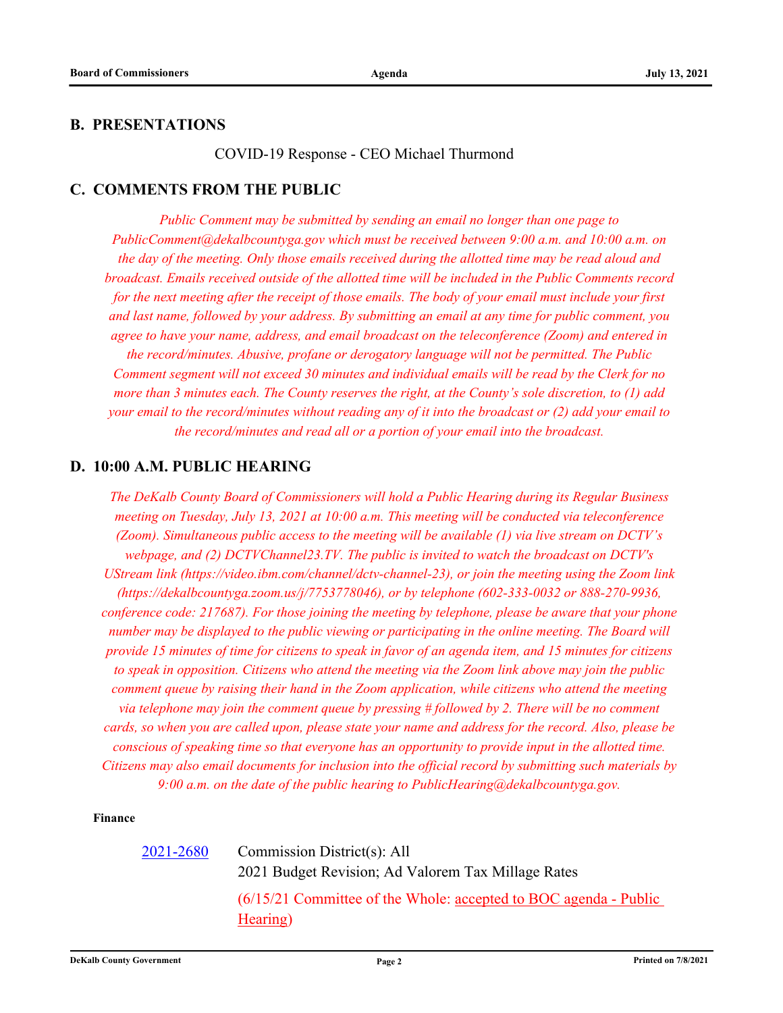## **B. PRESENTATIONS**

COVID-19 Response - CEO Michael Thurmond

# **C. COMMENTS FROM THE PUBLIC**

*Public Comment may be submitted by sending an email no longer than one page to PublicComment@dekalbcountyga.gov which must be received between 9:00 a.m. and 10:00 a.m. on the day of the meeting. Only those emails received during the allotted time may be read aloud and broadcast. Emails received outside of the allotted time will be included in the Public Comments record for the next meeting after the receipt of those emails. The body of your email must include your first and last name, followed by your address. By submitting an email at any time for public comment, you agree to have your name, address, and email broadcast on the teleconference (Zoom) and entered in the record/minutes. Abusive, profane or derogatory language will not be permitted. The Public Comment segment will not exceed 30 minutes and individual emails will be read by the Clerk for no more than 3 minutes each. The County reserves the right, at the County's sole discretion, to (1) add your email to the record/minutes without reading any of it into the broadcast or (2) add your email to the record/minutes and read all or a portion of your email into the broadcast.*

## **D. 10:00 A.M. PUBLIC HEARING**

*The DeKalb County Board of Commissioners will hold a Public Hearing during its Regular Business meeting on Tuesday, July 13, 2021 at 10:00 a.m. This meeting will be conducted via teleconference (Zoom). Simultaneous public access to the meeting will be available (1) via live stream on DCTV's webpage, and (2) DCTVChannel23.TV. The public is invited to watch the broadcast on DCTV's UStream link (https://video.ibm.com/channel/dctv-channel-23), or join the meeting using the Zoom link (https://dekalbcountyga.zoom.us/j/7753778046), or by telephone (602-333-0032 or 888-270-9936, conference code: 217687). For those joining the meeting by telephone, please be aware that your phone number may be displayed to the public viewing or participating in the online meeting. The Board will provide 15 minutes of time for citizens to speak in favor of an agenda item, and 15 minutes for citizens to speak in opposition. Citizens who attend the meeting via the Zoom link above may join the public comment queue by raising their hand in the Zoom application, while citizens who attend the meeting via telephone may join the comment queue by pressing # followed by 2. There will be no comment cards, so when you are called upon, please state your name and address for the record. Also, please be conscious of speaking time so that everyone has an opportunity to provide input in the allotted time. Citizens may also email documents for inclusion into the official record by submitting such materials by 9:00 a.m. on the date of the public hearing to PublicHearing@dekalbcountyga.gov.*

#### **Finance**

[2021-2680](http://dekalbcountyga.legistar.com/gateway.aspx?m=l&id=/matter.aspx?key=8916)

Commission District(s): All 2021 Budget Revision; Ad Valorem Tax Millage Rates (6/15/21 Committee of the Whole: accepted to BOC agenda - Public Hearing)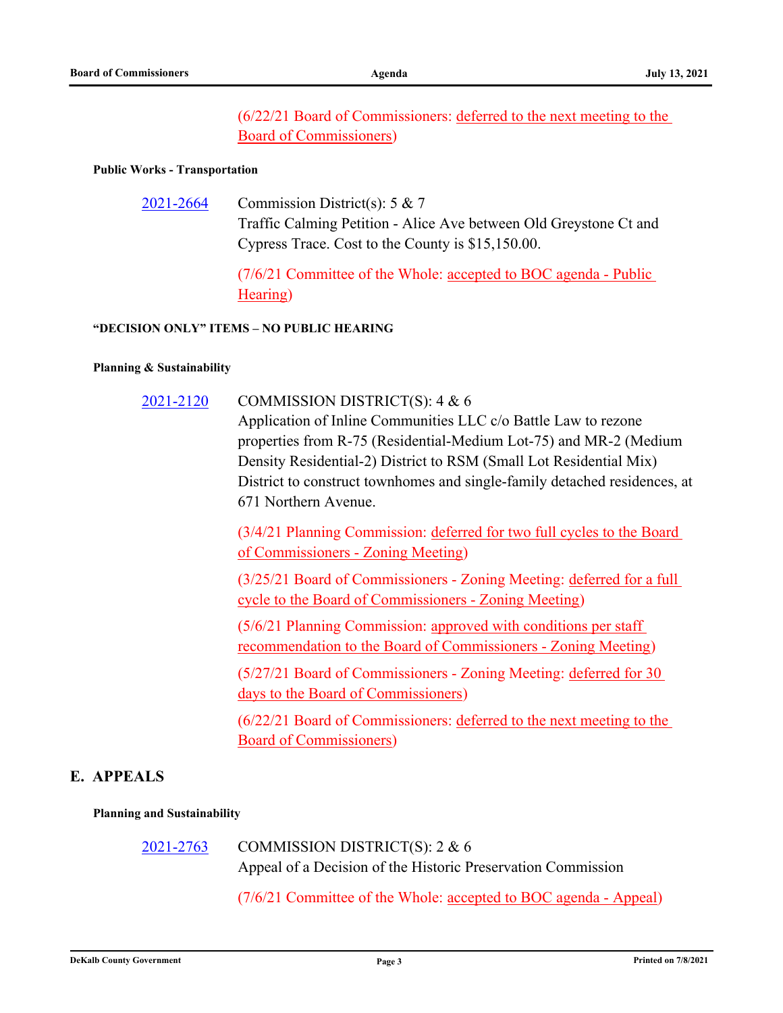(6/22/21 Board of Commissioners: deferred to the next meeting to the Board of Commissioners)

#### **Public Works - Transportation**

Commission District(s): 5 & 7 Traffic Calming Petition - Alice Ave between Old Greystone Ct and Cypress Trace. Cost to the County is \$15,150.00. [2021-2664](http://dekalbcountyga.legistar.com/gateway.aspx?m=l&id=/matter.aspx?key=8900)

> (7/6/21 Committee of the Whole: accepted to BOC agenda - Public Hearing)

#### **"DECISION ONLY" ITEMS – NO PUBLIC HEARING**

#### **Planning & Sustainability**

COMMISSION DISTRICT(S): 4 & 6 Application of Inline Communities LLC c/o Battle Law to rezone properties from R-75 (Residential-Medium Lot-75) and MR-2 (Medium Density Residential-2) District to RSM (Small Lot Residential Mix) District to construct townhomes and single-family detached residences, at 671 Northern Avenue. [2021-2120](http://dekalbcountyga.legistar.com/gateway.aspx?m=l&id=/matter.aspx?key=8356)

> (3/4/21 Planning Commission: deferred for two full cycles to the Board of Commissioners - Zoning Meeting)

> (3/25/21 Board of Commissioners - Zoning Meeting: deferred for a full cycle to the Board of Commissioners - Zoning Meeting)

(5/6/21 Planning Commission: approved with conditions per staff recommendation to the Board of Commissioners - Zoning Meeting)

(5/27/21 Board of Commissioners - Zoning Meeting: deferred for 30 days to the Board of Commissioners)

(6/22/21 Board of Commissioners: deferred to the next meeting to the Board of Commissioners)

# **E. APPEALS**

#### **Planning and Sustainability**

COMMISSION DISTRICT(S): 2 & 6 Appeal of a Decision of the Historic Preservation Commission [2021-2763](http://dekalbcountyga.legistar.com/gateway.aspx?m=l&id=/matter.aspx?key=8999)

(7/6/21 Committee of the Whole: accepted to BOC agenda - Appeal)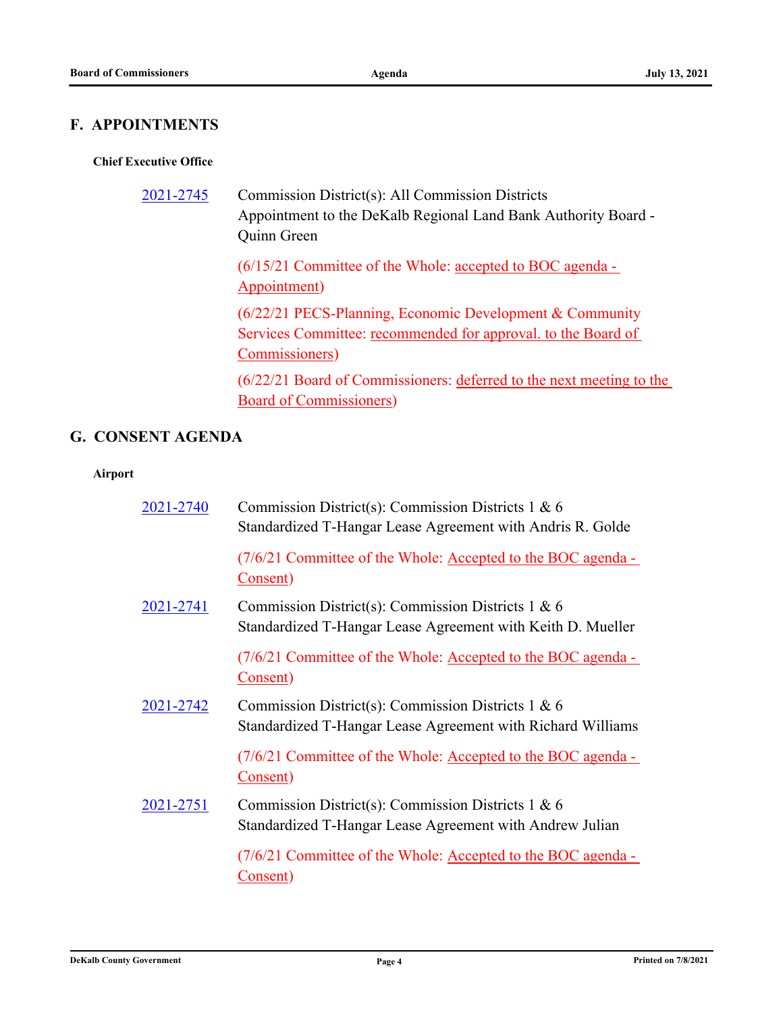# **F. APPOINTMENTS**

## **Chief Executive Office**

| 2021-2745 | Commission District(s): All Commission Districts<br>Appointment to the DeKalb Regional Land Bank Authority Board -<br>Quinn Green           |
|-----------|---------------------------------------------------------------------------------------------------------------------------------------------|
|           | $(6/15/21$ Committee of the Whole: accepted to BOC agenda -<br>Appointment)                                                                 |
|           | (6/22/21 PECS-Planning, Economic Development & Community<br>Services Committee: recommended for approval. to the Board of<br>Commissioners) |
|           | (6/22/21 Board of Commissioners: deferred to the next meeting to the                                                                        |

Board of Commissioners)

# **G. CONSENT AGENDA**

### **Airport**

| 2021-2740        | Commission District(s): Commission Districts $1 & 6$<br>Standardized T-Hangar Lease Agreement with Andris R. Golde  |
|------------------|---------------------------------------------------------------------------------------------------------------------|
|                  | (7/6/21 Committee of the Whole: Accepted to the BOC agenda -<br>Consent)                                            |
| <u>2021-2741</u> | Commission District(s): Commission Districts 1 & 6<br>Standardized T-Hangar Lease Agreement with Keith D. Mueller   |
|                  | (7/6/21 Committee of the Whole: Accepted to the BOC agenda -<br>Consent)                                            |
| 2021-2742        | Commission District(s): Commission Districts $1 & 6$<br>Standardized T-Hangar Lease Agreement with Richard Williams |
|                  | (7/6/21 Committee of the Whole: Accepted to the BOC agenda -<br>Consent)                                            |
| 2021-2751        | Commission District(s): Commission Districts 1 & 6<br>Standardized T-Hangar Lease Agreement with Andrew Julian      |
|                  | (7/6/21 Committee of the Whole: Accepted to the BOC agenda -<br>Consent)                                            |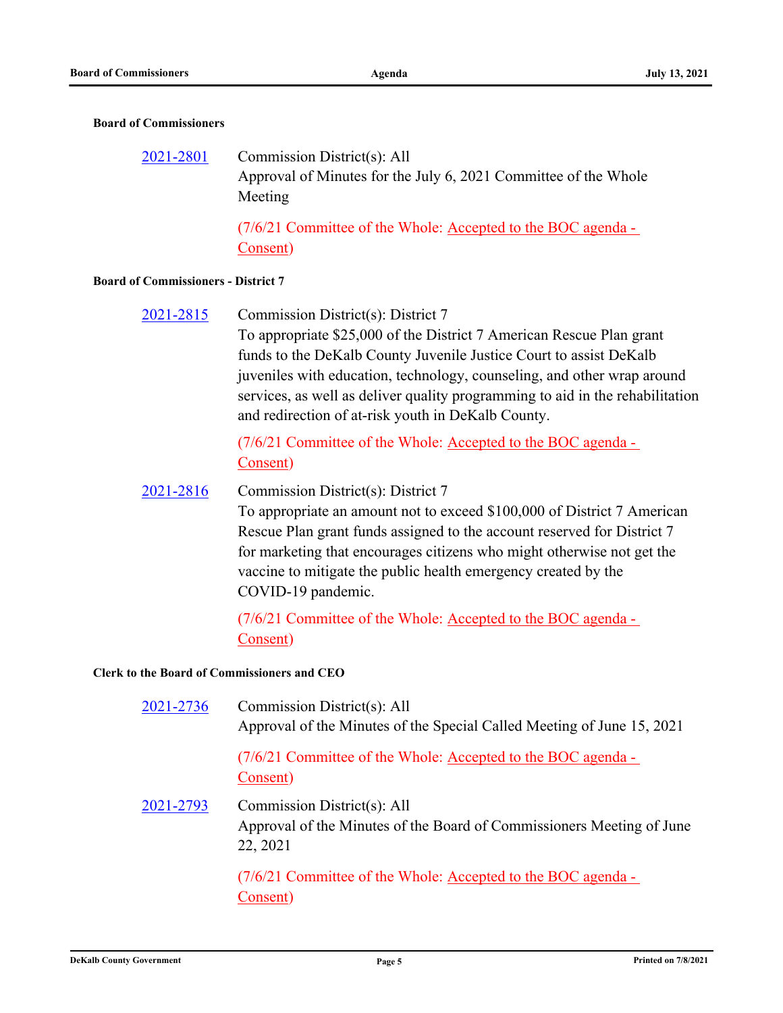#### **Board of Commissioners**

Commission District(s): All Approval of Minutes for the July 6, 2021 Committee of the Whole Meeting [2021-2801](http://dekalbcountyga.legistar.com/gateway.aspx?m=l&id=/matter.aspx?key=9037)

> (7/6/21 Committee of the Whole: Accepted to the BOC agenda - Consent)

#### **Board of Commissioners - District 7**

Commission District(s): District 7 [2021-2815](http://dekalbcountyga.legistar.com/gateway.aspx?m=l&id=/matter.aspx?key=9051)

> To appropriate \$25,000 of the District 7 American Rescue Plan grant funds to the DeKalb County Juvenile Justice Court to assist DeKalb juveniles with education, technology, counseling, and other wrap around services, as well as deliver quality programming to aid in the rehabilitation and redirection of at-risk youth in DeKalb County.

(7/6/21 Committee of the Whole: Accepted to the BOC agenda - Consent)

#### Commission District(s): District 7 [2021-2816](http://dekalbcountyga.legistar.com/gateway.aspx?m=l&id=/matter.aspx?key=9052)

To appropriate an amount not to exceed \$100,000 of District 7 American Rescue Plan grant funds assigned to the account reserved for District 7 for marketing that encourages citizens who might otherwise not get the vaccine to mitigate the public health emergency created by the COVID-19 pandemic.

(7/6/21 Committee of the Whole: Accepted to the BOC agenda - Consent)

**Clerk to the Board of Commissioners and CEO**

| 2021-2736 | Commission District(s): All<br>Approval of the Minutes of the Special Called Meeting of June 15, 2021            |
|-----------|------------------------------------------------------------------------------------------------------------------|
|           | (7/6/21 Committee of the Whole: Accepted to the BOC agenda -<br>Consent)                                         |
| 2021-2793 | Commission District(s): All<br>Approval of the Minutes of the Board of Commissioners Meeting of June<br>22, 2021 |
|           | (7/6/21 Committee of the Whole: Accepted to the BOC agenda -<br>Consent)                                         |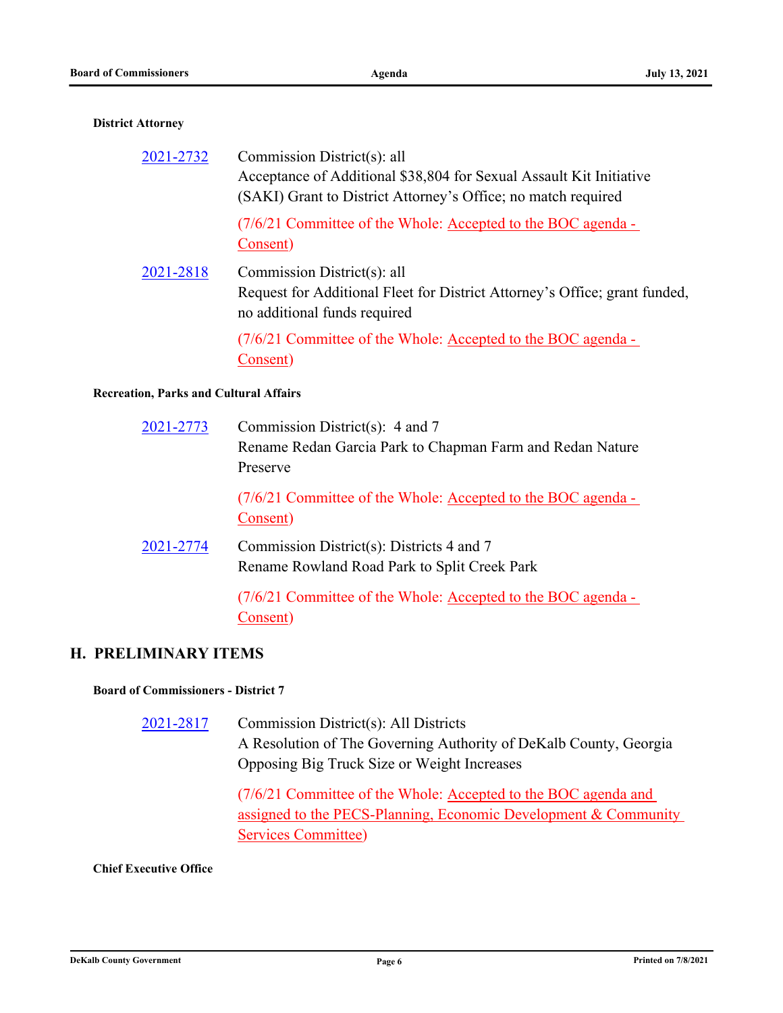#### **District Attorney**

| 2021-2732                      | Commission District(s): all<br>Acceptance of Additional \$38,804 for Sexual Assault Kit Initiative<br>(SAKI) Grant to District Attorney's Office; no match required |
|--------------------------------|---------------------------------------------------------------------------------------------------------------------------------------------------------------------|
|                                | (7/6/21 Committee of the Whole: Accepted to the BOC agenda -<br>Consent)                                                                                            |
| 2021-2818                      | Commission District(s): all<br>Request for Additional Fleet for District Attorney's Office; grant funded,<br>no additional funds required                           |
|                                | (7/6/21 Committee of the Whole: Accepted to the BOC agenda -<br>Consent)                                                                                            |
| on. Parks and Cultural Affairs |                                                                                                                                                                     |

## **Recreation, Parks and Cultural Affairs**

| 2021-2773 | Commission District(s): $4$ and $7$<br>Rename Redan Garcia Park to Chapman Farm and Redan Nature<br>Preserve |
|-----------|--------------------------------------------------------------------------------------------------------------|
|           | (7/6/21 Committee of the Whole: Accepted to the BOC agenda -<br>Consent)                                     |
| 2021-2774 | Commission District(s): Districts 4 and 7<br>Rename Rowland Road Park to Split Creek Park                    |
|           | (7/6/21 Committee of the Whole: Accepted to the BOC agenda -<br>Consent)                                     |

## **H. PRELIMINARY ITEMS**

**Board of Commissioners - District 7**

Commission District(s): All Districts A Resolution of The Governing Authority of DeKalb County, Georgia Opposing Big Truck Size or Weight Increases [2021-2817](http://dekalbcountyga.legistar.com/gateway.aspx?m=l&id=/matter.aspx?key=9053)

> (7/6/21 Committee of the Whole: Accepted to the BOC agenda and assigned to the PECS-Planning, Economic Development & Community Services Committee)

#### **Chief Executive Office**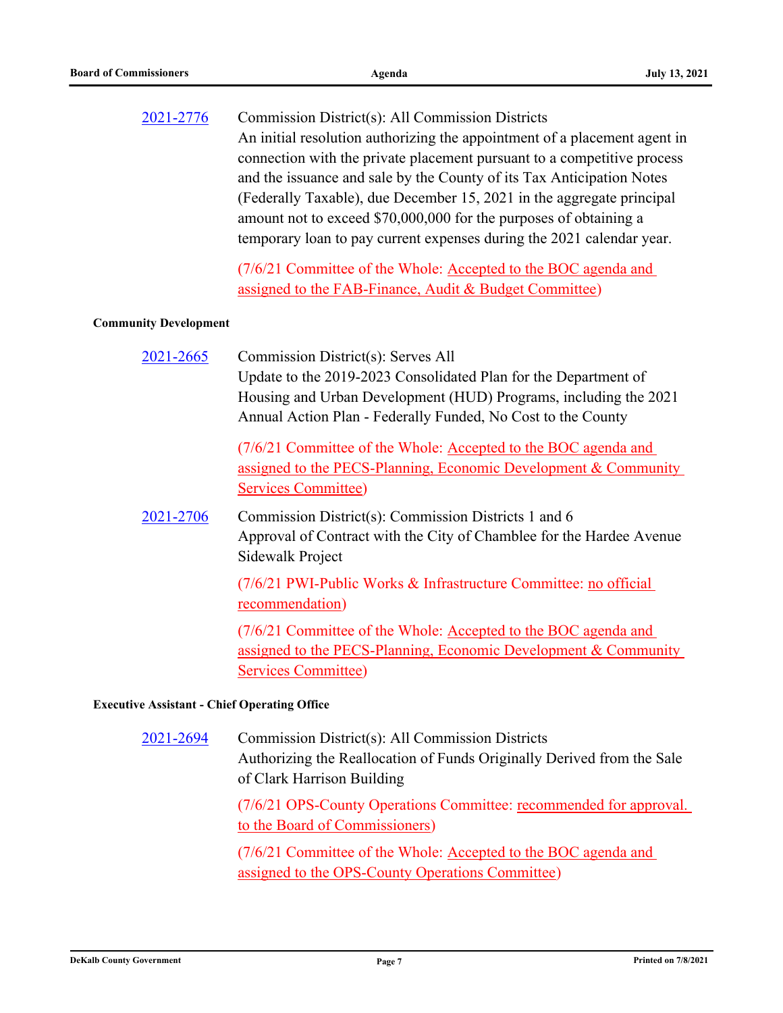| 2021-2776                                           | Commission District(s): All Commission Districts<br>An initial resolution authorizing the appointment of a placement agent in<br>connection with the private placement pursuant to a competitive process<br>and the issuance and sale by the County of its Tax Anticipation Notes<br>(Federally Taxable), due December 15, 2021 in the aggregate principal<br>amount not to exceed \$70,000,000 for the purposes of obtaining a<br>temporary loan to pay current expenses during the 2021 calendar year. |
|-----------------------------------------------------|----------------------------------------------------------------------------------------------------------------------------------------------------------------------------------------------------------------------------------------------------------------------------------------------------------------------------------------------------------------------------------------------------------------------------------------------------------------------------------------------------------|
|                                                     | (7/6/21 Committee of the Whole: Accepted to the BOC agenda and<br>assigned to the FAB-Finance, Audit & Budget Committee)                                                                                                                                                                                                                                                                                                                                                                                 |
| <b>Community Development</b>                        |                                                                                                                                                                                                                                                                                                                                                                                                                                                                                                          |
| 2021-2665                                           | Commission District(s): Serves All<br>Update to the 2019-2023 Consolidated Plan for the Department of<br>Housing and Urban Development (HUD) Programs, including the 2021<br>Annual Action Plan - Federally Funded, No Cost to the County                                                                                                                                                                                                                                                                |
|                                                     | (7/6/21 Committee of the Whole: Accepted to the BOC agenda and<br>assigned to the PECS-Planning, Economic Development & Community<br><b>Services Committee)</b>                                                                                                                                                                                                                                                                                                                                          |
| 2021-2706                                           | Commission District(s): Commission Districts 1 and 6<br>Approval of Contract with the City of Chamblee for the Hardee Avenue<br>Sidewalk Project                                                                                                                                                                                                                                                                                                                                                         |
|                                                     | (7/6/21 PWI-Public Works & Infrastructure Committee: no official<br>recommendation)                                                                                                                                                                                                                                                                                                                                                                                                                      |
|                                                     | (7/6/21 Committee of the Whole: Accepted to the BOC agenda and<br>assigned to the PECS-Planning, Economic Development & Community<br><b>Services Committee)</b>                                                                                                                                                                                                                                                                                                                                          |
| <b>Executive Assistant - Chief Operating Office</b> |                                                                                                                                                                                                                                                                                                                                                                                                                                                                                                          |

Commission District(s): All Commission Districts Authorizing the Reallocation of Funds Originally Derived from the Sale of Clark Harrison Building [2021-2694](http://dekalbcountyga.legistar.com/gateway.aspx?m=l&id=/matter.aspx?key=8930)

> (7/6/21 OPS-County Operations Committee: recommended for approval. to the Board of Commissioners)

(7/6/21 Committee of the Whole: Accepted to the BOC agenda and assigned to the OPS-County Operations Committee)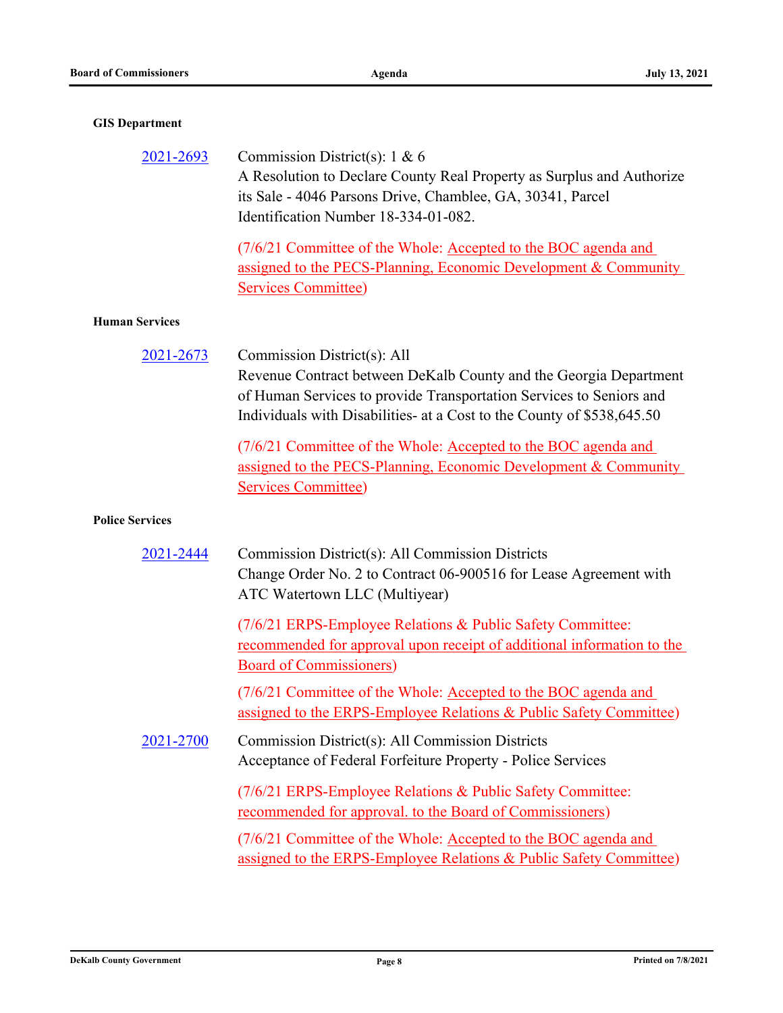# **GIS Department**

| 2021-2693             | Commission District(s): $1 \& 6$                                       |
|-----------------------|------------------------------------------------------------------------|
|                       | A Resolution to Declare County Real Property as Surplus and Authorize  |
|                       | its Sale - 4046 Parsons Drive, Chamblee, GA, 30341, Parcel             |
|                       | Identification Number 18-334-01-082.                                   |
|                       | (7/6/21 Committee of the Whole: Accepted to the BOC agenda and         |
|                       | assigned to the PECS-Planning, Economic Development & Community        |
|                       | <b>Services Committee)</b>                                             |
| <b>Human Services</b> |                                                                        |
| 2021-2673             | Commission District(s): All                                            |
|                       | Revenue Contract between DeKalb County and the Georgia Department      |
|                       | of Human Services to provide Transportation Services to Seniors and    |
|                       | Individuals with Disabilities- at a Cost to the County of \$538,645.50 |
|                       | (7/6/21 Committee of the Whole: Accepted to the BOC agenda and         |
|                       | assigned to the PECS-Planning, Economic Development & Community        |
|                       | Services Committee)                                                    |

### **Police Services**

| 2021-2444 | Commission District(s): All Commission Districts<br>Change Order No. 2 to Contract 06-900516 for Lease Agreement with<br>ATC Watertown LLC (Multiyear)                 |
|-----------|------------------------------------------------------------------------------------------------------------------------------------------------------------------------|
|           | (7/6/21 ERPS-Employee Relations & Public Safety Committee:<br>recommended for approval upon receipt of additional information to the<br><b>Board of Commissioners)</b> |
|           | (7/6/21 Committee of the Whole: Accepted to the BOC agenda and<br>assigned to the ERPS-Employee Relations & Public Safety Committee)                                   |
| 2021-2700 | Commission District(s): All Commission Districts<br>Acceptance of Federal Forfeiture Property - Police Services                                                        |
|           | (7/6/21 ERPS-Employee Relations & Public Safety Committee:<br><u>recommended for approval. to the Board of Commissioners</u>                                           |
|           | (7/6/21 Committee of the Whole: Accepted to the BOC agenda and<br>assigned to the ERPS-Employee Relations & Public Safety Committee)                                   |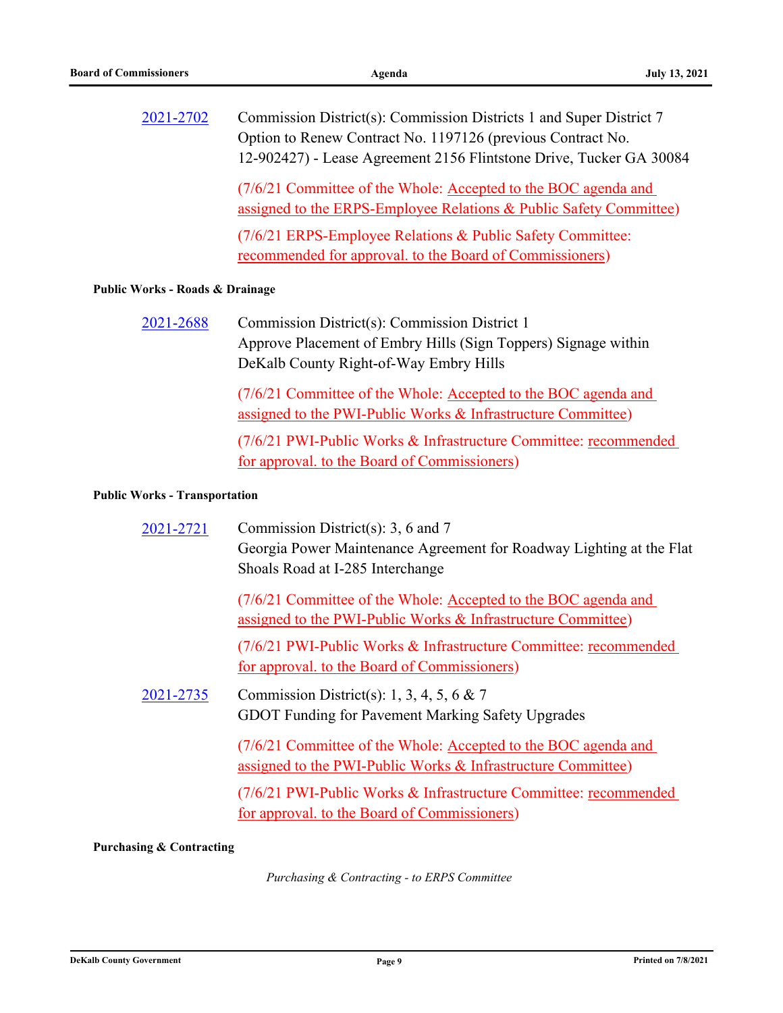| 2021-2702                       | Commission District(s): Commission Districts 1 and Super District 7<br>Option to Renew Contract No. 1197126 (previous Contract No.<br>12-902427) - Lease Agreement 2156 Flintstone Drive, Tucker GA 30084 |
|---------------------------------|-----------------------------------------------------------------------------------------------------------------------------------------------------------------------------------------------------------|
|                                 | (7/6/21 Committee of the Whole: Accepted to the BOC agenda and<br>assigned to the ERPS-Employee Relations & Public Safety Committee)                                                                      |
|                                 | (7/6/21 ERPS-Employee Relations & Public Safety Committee:<br>recommended for approval. to the Board of Commissioners)                                                                                    |
| Public Works - Roads & Drainage |                                                                                                                                                                                                           |
| 2021200                         | $\Omega$ and $\Omega$ and $\Omega$ and $\Omega$ and $\Omega$ and $\Omega$ and $\Omega$ and $\Omega$                                                                                                       |

Commission District(s): Commission District 1 Approve Placement of Embry Hills (Sign Toppers) Signage within DeKalb County Right-of-Way Embry Hills [2021-2688](http://dekalbcountyga.legistar.com/gateway.aspx?m=l&id=/matter.aspx?key=8924)

> (7/6/21 Committee of the Whole: Accepted to the BOC agenda and assigned to the PWI-Public Works & Infrastructure Committee)

(7/6/21 PWI-Public Works & Infrastructure Committee: recommended for approval. to the Board of Commissioners)

#### **Public Works - Transportation**

| 2021-2721 | Commission District(s): 3, 6 and 7<br>Georgia Power Maintenance Agreement for Roadway Lighting at the Flat<br>Shoals Road at I-285 Interchange |
|-----------|------------------------------------------------------------------------------------------------------------------------------------------------|
|           | (7/6/21 Committee of the Whole: Accepted to the BOC agenda and<br>assigned to the PWI-Public Works & Infrastructure Committee)                 |
|           | (7/6/21 PWI-Public Works & Infrastructure Committee: recommended<br>for approval. to the Board of Commissioners)                               |
| 2021-2735 | Commission District(s): 1, 3, 4, 5, 6 & 7<br><b>GDOT Funding for Pavement Marking Safety Upgrades</b>                                          |
|           | (7/6/21 Committee of the Whole: Accepted to the BOC agenda and<br>assigned to the PWI-Public Works & Infrastructure Committee)                 |
|           | (7/6/21 PWI-Public Works & Infrastructure Committee: recommended<br>for approval. to the Board of Commissioners)                               |

### **Purchasing & Contracting**

*Purchasing & Contracting - to ERPS Committee*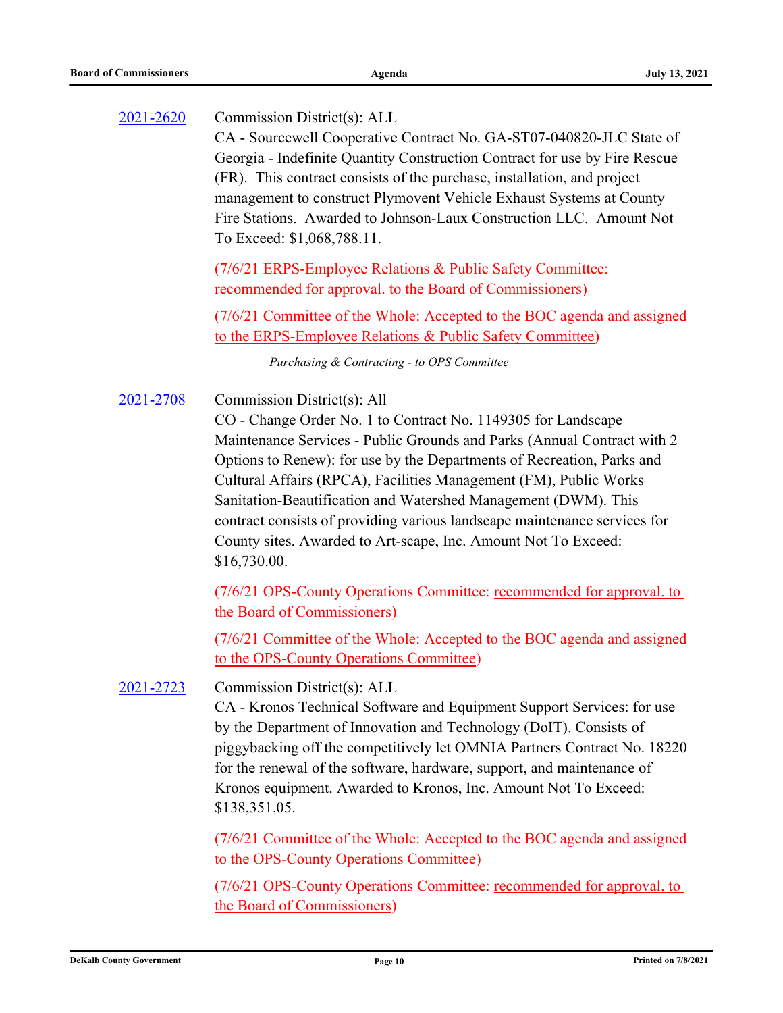Commission District(s): ALL CA - Sourcewell Cooperative Contract No. GA-ST07-040820-JLC State of Georgia - Indefinite Quantity Construction Contract for use by Fire Rescue (FR). This contract consists of the purchase, installation, and project management to construct Plymovent Vehicle Exhaust Systems at County Fire Stations. Awarded to Johnson-Laux Construction LLC. Amount Not To Exceed: \$1,068,788.11. [2021-2620](http://dekalbcountyga.legistar.com/gateway.aspx?m=l&id=/matter.aspx?key=8856) (7/6/21 ERPS-Employee Relations & Public Safety Committee: recommended for approval. to the Board of Commissioners) (7/6/21 Committee of the Whole: Accepted to the BOC agenda and assigned to the ERPS-Employee Relations & Public Safety Committee) *Purchasing & Contracting - to OPS Committee* Commission District(s): All CO - Change Order No. 1 to Contract No. 1149305 for Landscape Maintenance Services - Public Grounds and Parks (Annual Contract with 2 Options to Renew): for use by the Departments of Recreation, Parks and Cultural Affairs (RPCA), Facilities Management (FM), Public Works Sanitation-Beautification and Watershed Management (DWM). This contract consists of providing various landscape maintenance services for County sites. Awarded to Art-scape, Inc. Amount Not To Exceed: \$16,730.00. [2021-2708](http://dekalbcountyga.legistar.com/gateway.aspx?m=l&id=/matter.aspx?key=8944) (7/6/21 OPS-County Operations Committee: recommended for approval. to the Board of Commissioners) (7/6/21 Committee of the Whole: Accepted to the BOC agenda and assigned to the OPS-County Operations Committee) Commission District(s): ALL CA - Kronos Technical Software and Equipment Support Services: for use by the Department of Innovation and Technology (DoIT). Consists of piggybacking off the competitively let OMNIA Partners Contract No. 18220 for the renewal of the software, hardware, support, and maintenance of Kronos equipment. Awarded to Kronos, Inc. Amount Not To Exceed: \$138,351.05. [2021-2723](http://dekalbcountyga.legistar.com/gateway.aspx?m=l&id=/matter.aspx?key=8959) (7/6/21 Committee of the Whole: Accepted to the BOC agenda and assigned to the OPS-County Operations Committee)

> (7/6/21 OPS-County Operations Committee: recommended for approval. to the Board of Commissioners)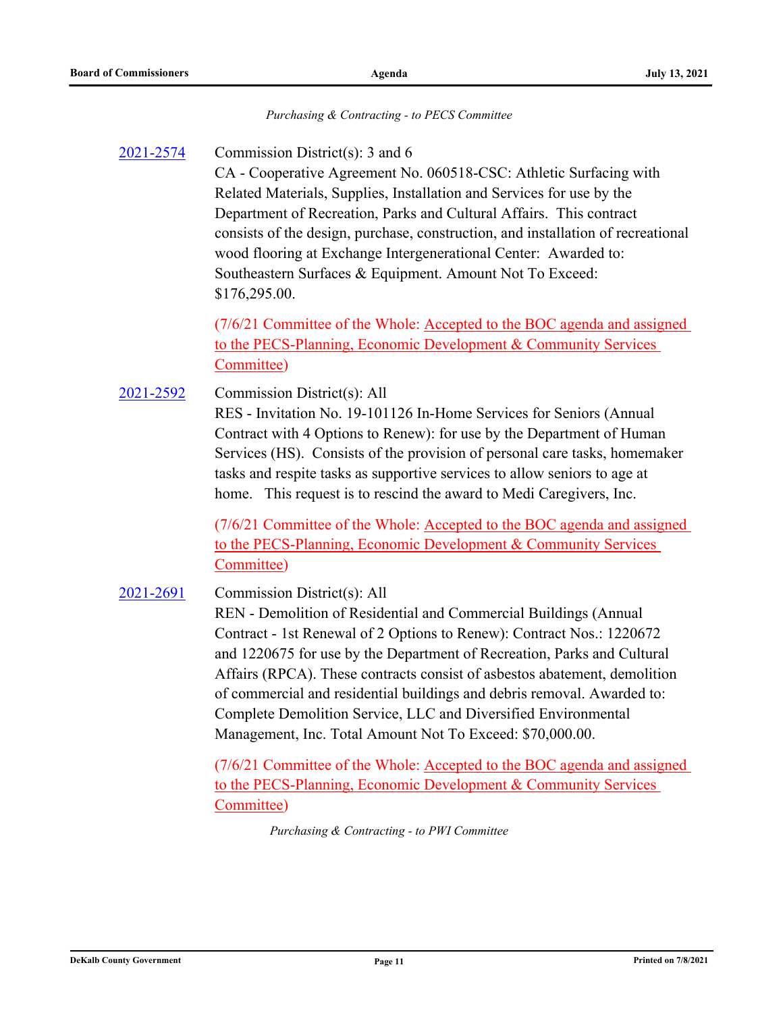#### *Purchasing & Contracting - to PECS Committee*

#### Commission District(s): 3 and 6 [2021-2574](http://dekalbcountyga.legistar.com/gateway.aspx?m=l&id=/matter.aspx?key=8810)

CA - Cooperative Agreement No. 060518-CSC: Athletic Surfacing with Related Materials, Supplies, Installation and Services for use by the Department of Recreation, Parks and Cultural Affairs. This contract consists of the design, purchase, construction, and installation of recreational wood flooring at Exchange Intergenerational Center: Awarded to: Southeastern Surfaces & Equipment. Amount Not To Exceed: \$176,295.00.

(7/6/21 Committee of the Whole: Accepted to the BOC agenda and assigned to the PECS-Planning, Economic Development & Community Services Committee)

Commission District(s): All RES - Invitation No. 19-101126 In-Home Services for Seniors (Annual Contract with 4 Options to Renew): for use by the Department of Human Services (HS). Consists of the provision of personal care tasks, homemaker tasks and respite tasks as supportive services to allow seniors to age at home. This request is to rescind the award to Medi Caregivers, Inc. [2021-2592](http://dekalbcountyga.legistar.com/gateway.aspx?m=l&id=/matter.aspx?key=8828)

> (7/6/21 Committee of the Whole: Accepted to the BOC agenda and assigned to the PECS-Planning, Economic Development & Community Services Committee)

#### Commission District(s): All [2021-2691](http://dekalbcountyga.legistar.com/gateway.aspx?m=l&id=/matter.aspx?key=8927)

REN - Demolition of Residential and Commercial Buildings (Annual Contract - 1st Renewal of 2 Options to Renew): Contract Nos.: 1220672 and 1220675 for use by the Department of Recreation, Parks and Cultural Affairs (RPCA). These contracts consist of asbestos abatement, demolition of commercial and residential buildings and debris removal. Awarded to: Complete Demolition Service, LLC and Diversified Environmental Management, Inc. Total Amount Not To Exceed: \$70,000.00.

(7/6/21 Committee of the Whole: Accepted to the BOC agenda and assigned to the PECS-Planning, Economic Development & Community Services Committee)

*Purchasing & Contracting - to PWI Committee*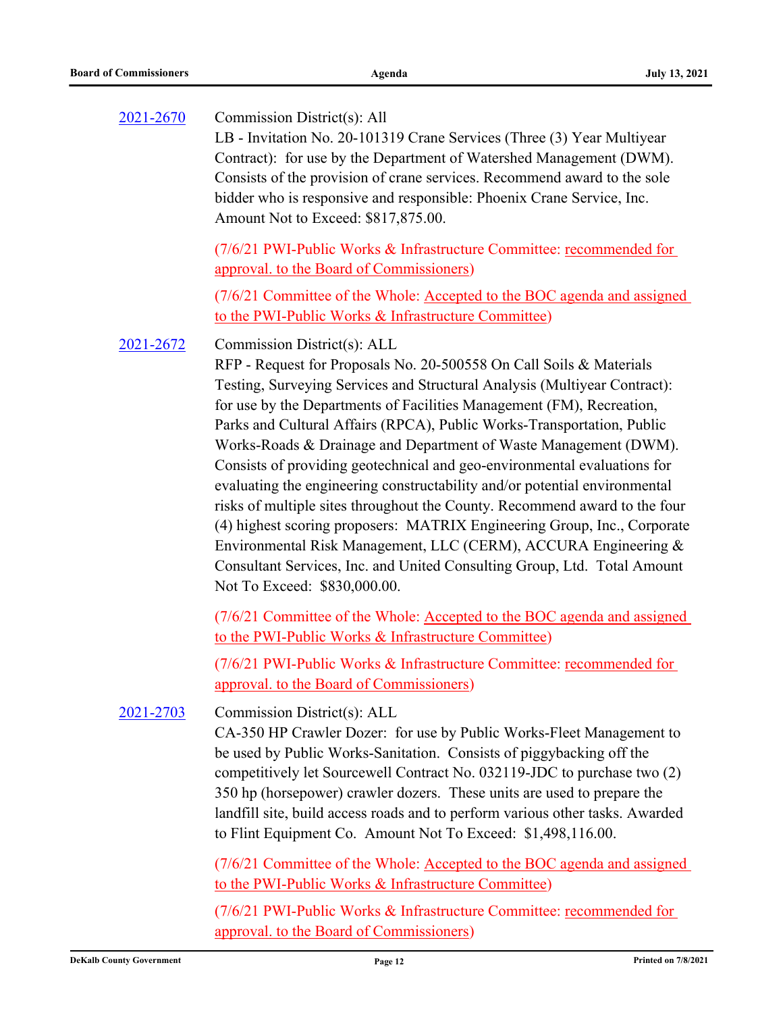| 2021-2670 | Commission District(s): All<br>LB - Invitation No. 20-101319 Crane Services (Three (3) Year Multiyear<br>Contract): for use by the Department of Watershed Management (DWM).<br>Consists of the provision of crane services. Recommend award to the sole<br>bidder who is responsive and responsible: Phoenix Crane Service, Inc.<br>Amount Not to Exceed: \$817,875.00.                                                                                                                                                                                                                                                                                                                                                                                                                                                                                                                                  |
|-----------|-----------------------------------------------------------------------------------------------------------------------------------------------------------------------------------------------------------------------------------------------------------------------------------------------------------------------------------------------------------------------------------------------------------------------------------------------------------------------------------------------------------------------------------------------------------------------------------------------------------------------------------------------------------------------------------------------------------------------------------------------------------------------------------------------------------------------------------------------------------------------------------------------------------|
|           | (7/6/21 PWI-Public Works & Infrastructure Committee: recommended for<br>approval. to the Board of Commissioners)                                                                                                                                                                                                                                                                                                                                                                                                                                                                                                                                                                                                                                                                                                                                                                                          |
|           | (7/6/21 Committee of the Whole: Accepted to the BOC agenda and assigned<br>to the PWI-Public Works & Infrastructure Committee)                                                                                                                                                                                                                                                                                                                                                                                                                                                                                                                                                                                                                                                                                                                                                                            |
| 2021-2672 | Commission District(s): ALL<br>RFP - Request for Proposals No. 20-500558 On Call Soils & Materials<br>Testing, Surveying Services and Structural Analysis (Multiyear Contract):<br>for use by the Departments of Facilities Management (FM), Recreation,<br>Parks and Cultural Affairs (RPCA), Public Works-Transportation, Public<br>Works-Roads & Drainage and Department of Waste Management (DWM).<br>Consists of providing geotechnical and geo-environmental evaluations for<br>evaluating the engineering constructability and/or potential environmental<br>risks of multiple sites throughout the County. Recommend award to the four<br>(4) highest scoring proposers: MATRIX Engineering Group, Inc., Corporate<br>Environmental Risk Management, LLC (CERM), ACCURA Engineering &<br>Consultant Services, Inc. and United Consulting Group, Ltd. Total Amount<br>Not To Exceed: \$830,000.00. |
|           | (7/6/21 Committee of the Whole: Accepted to the BOC agenda and assigned<br>to the PWI-Public Works & Infrastructure Committee)                                                                                                                                                                                                                                                                                                                                                                                                                                                                                                                                                                                                                                                                                                                                                                            |
|           | (7/6/21 PWI-Public Works & Infrastructure Committee: recommended for<br>approval. to the Board of Commissioners)                                                                                                                                                                                                                                                                                                                                                                                                                                                                                                                                                                                                                                                                                                                                                                                          |
| 2021-2703 | Commission District(s): ALL<br>CA-350 HP Crawler Dozer: for use by Public Works-Fleet Management to<br>be used by Public Works-Sanitation. Consists of piggybacking off the<br>competitively let Sourcewell Contract No. 032119-JDC to purchase two (2)<br>350 hp (horsepower) crawler dozers. These units are used to prepare the<br>landfill site, build access roads and to perform various other tasks. Awarded<br>to Flint Equipment Co. Amount Not To Exceed: \$1,498,116.00.                                                                                                                                                                                                                                                                                                                                                                                                                       |
|           | (7/6/21 Committee of the Whole: Accepted to the BOC agenda and assigned<br>to the PWI-Public Works & Infrastructure Committee)                                                                                                                                                                                                                                                                                                                                                                                                                                                                                                                                                                                                                                                                                                                                                                            |
|           | (7/6/21 PWI-Public Works & Infrastructure Committee: recommended for<br>approval. to the Board of Commissioners)                                                                                                                                                                                                                                                                                                                                                                                                                                                                                                                                                                                                                                                                                                                                                                                          |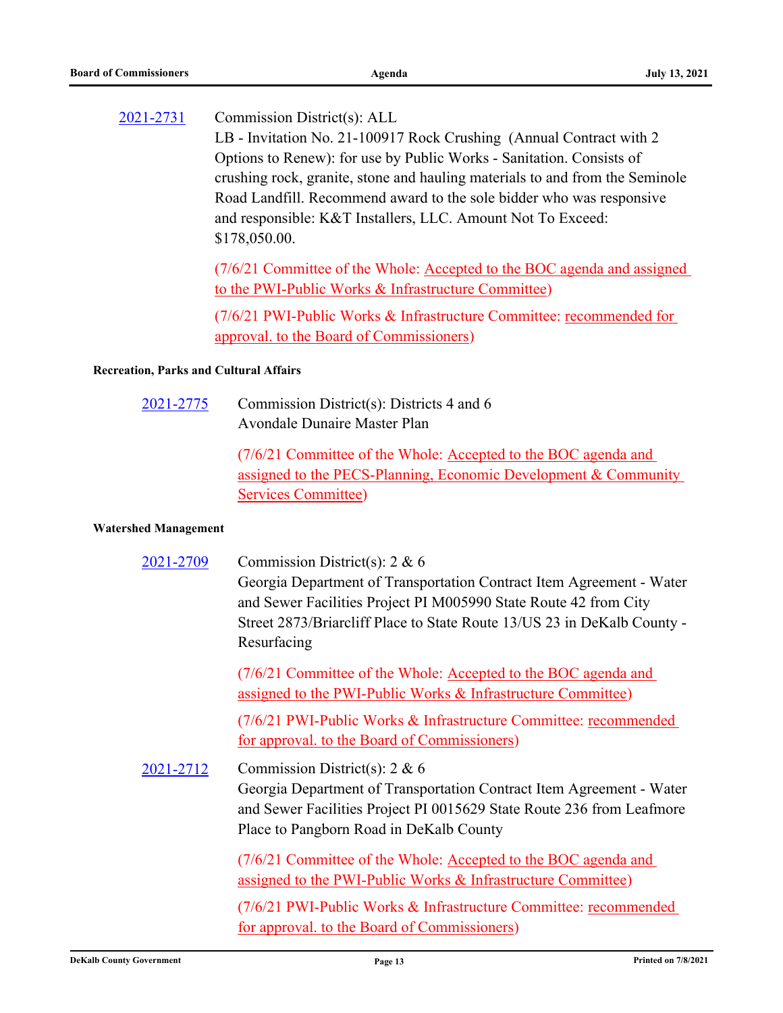Commission District(s): ALL LB - Invitation No. 21-100917 Rock Crushing (Annual Contract with 2 Options to Renew): for use by Public Works - Sanitation. Consists of crushing rock, granite, stone and hauling materials to and from the Seminole Road Landfill. Recommend award to the sole bidder who was responsive and responsible: K&T Installers, LLC. Amount Not To Exceed: \$178,050.00. [2021-2731](http://dekalbcountyga.legistar.com/gateway.aspx?m=l&id=/matter.aspx?key=8967)

> (7/6/21 Committee of the Whole: Accepted to the BOC agenda and assigned to the PWI-Public Works & Infrastructure Committee)

(7/6/21 PWI-Public Works & Infrastructure Committee: recommended for approval. to the Board of Commissioners)

#### **Recreation, Parks and Cultural Affairs**

Commission District(s): Districts 4 and 6 Avondale Dunaire Master Plan [2021-2775](http://dekalbcountyga.legistar.com/gateway.aspx?m=l&id=/matter.aspx?key=9011)

> (7/6/21 Committee of the Whole: Accepted to the BOC agenda and assigned to the PECS-Planning, Economic Development & Community Services Committee)

#### **Watershed Management**

| 2021-2709 | Commission District(s): $2 & 6$<br>Georgia Department of Transportation Contract Item Agreement - Water<br>and Sewer Facilities Project PI M005990 State Route 42 from City<br>Street 2873/Briarcliff Place to State Route 13/US 23 in DeKalb County -<br>Resurfacing |
|-----------|-----------------------------------------------------------------------------------------------------------------------------------------------------------------------------------------------------------------------------------------------------------------------|
|           | (7/6/21 Committee of the Whole: Accepted to the BOC agenda and<br>assigned to the PWI-Public Works & Infrastructure Committee)                                                                                                                                        |
|           | (7/6/21 PWI-Public Works & Infrastructure Committee: recommended<br>for approval. to the Board of Commissioners)                                                                                                                                                      |
| 2021-2712 | Commission District(s): $2 & 6$<br>Georgia Department of Transportation Contract Item Agreement - Water<br>and Sewer Facilities Project PI 0015629 State Route 236 from Leafmore<br>Place to Pangborn Road in DeKalb County                                           |
|           | (7/6/21 Committee of the Whole: Accepted to the BOC agenda and<br>assigned to the PWI-Public Works & Infrastructure Committee)                                                                                                                                        |
|           | (7/6/21 PWI-Public Works & Infrastructure Committee: recommended<br>for approval. to the Board of Commissioners)                                                                                                                                                      |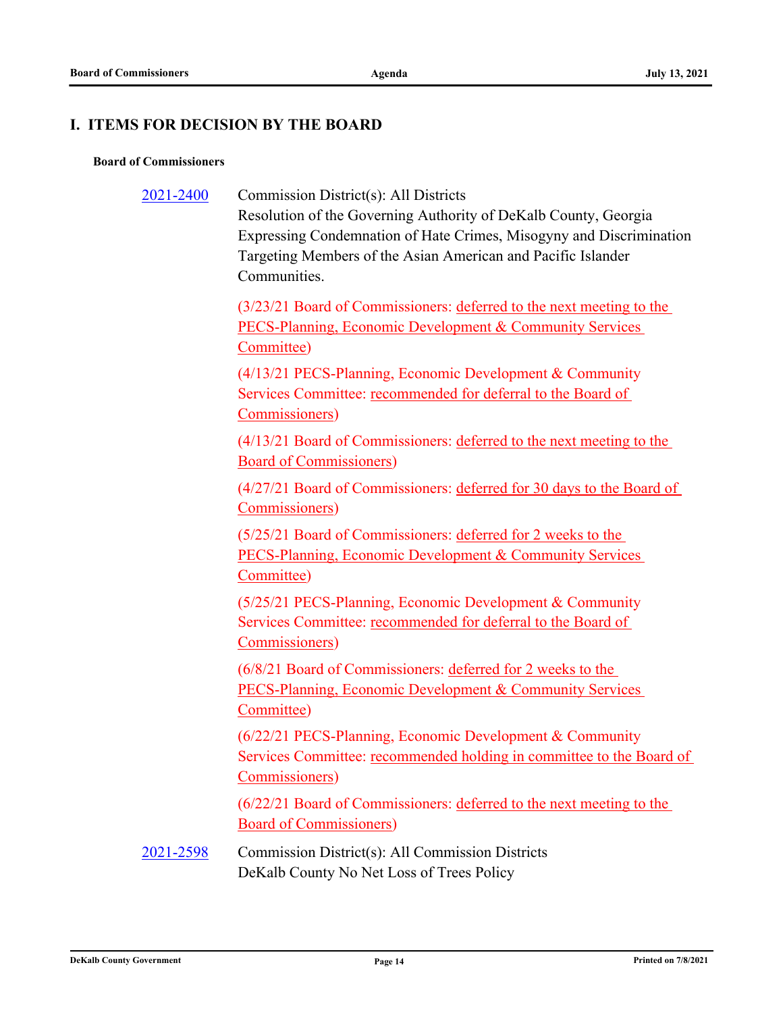# **I. ITEMS FOR DECISION BY THE BOARD**

#### **Board of Commissioners**

[2021-2400](http://dekalbcountyga.legistar.com/gateway.aspx?m=l&id=/matter.aspx?key=8636)

Commission District(s): All Districts

Resolution of the Governing Authority of DeKalb County, Georgia Expressing Condemnation of Hate Crimes, Misogyny and Discrimination Targeting Members of the Asian American and Pacific Islander Communities.

(3/23/21 Board of Commissioners: deferred to the next meeting to the PECS-Planning, Economic Development & Community Services Committee)

(4/13/21 PECS-Planning, Economic Development & Community Services Committee: recommended for deferral to the Board of Commissioners)

(4/13/21 Board of Commissioners: deferred to the next meeting to the Board of Commissioners)

(4/27/21 Board of Commissioners: deferred for 30 days to the Board of Commissioners)

(5/25/21 Board of Commissioners: deferred for 2 weeks to the PECS-Planning, Economic Development & Community Services Committee)

(5/25/21 PECS-Planning, Economic Development & Community Services Committee: recommended for deferral to the Board of Commissioners)

(6/8/21 Board of Commissioners: deferred for 2 weeks to the PECS-Planning, Economic Development & Community Services Committee)

(6/22/21 PECS-Planning, Economic Development & Community Services Committee: recommended holding in committee to the Board of Commissioners)

(6/22/21 Board of Commissioners: deferred to the next meeting to the Board of Commissioners)

Commission District(s): All Commission Districts DeKalb County No Net Loss of Trees Policy [2021-2598](http://dekalbcountyga.legistar.com/gateway.aspx?m=l&id=/matter.aspx?key=8834)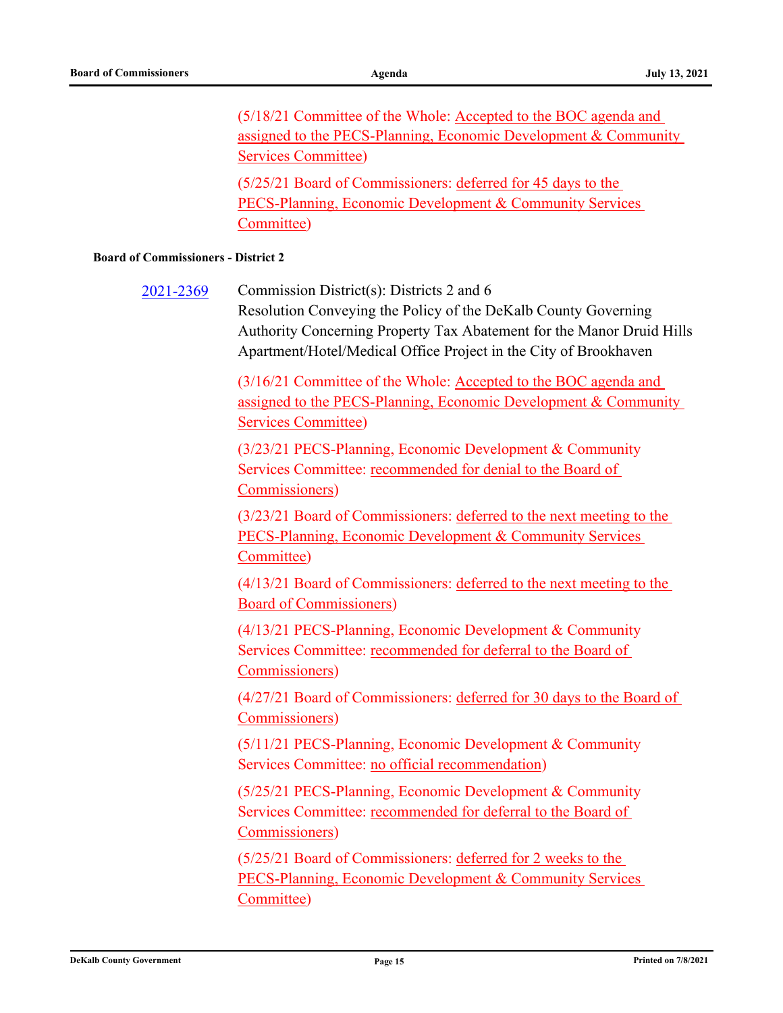(5/18/21 Committee of the Whole: Accepted to the BOC agenda and assigned to the PECS-Planning, Economic Development & Community Services Committee) (5/25/21 Board of Commissioners: deferred for 45 days to the

PECS-Planning, Economic Development & Community Services Committee)

#### **Board of Commissioners - District 2**

Commission District(s): Districts 2 and 6 Resolution Conveying the Policy of the DeKalb County Governing Authority Concerning Property Tax Abatement for the Manor Druid Hills Apartment/Hotel/Medical Office Project in the City of Brookhaven [2021-2369](http://dekalbcountyga.legistar.com/gateway.aspx?m=l&id=/matter.aspx?key=8605) (3/16/21 Committee of the Whole: Accepted to the BOC agenda and assigned to the PECS-Planning, Economic Development & Community Services Committee) (3/23/21 PECS-Planning, Economic Development & Community Services Committee: recommended for denial to the Board of Commissioners) (3/23/21 Board of Commissioners: deferred to the next meeting to the PECS-Planning, Economic Development & Community Services Committee) (4/13/21 Board of Commissioners: deferred to the next meeting to the Board of Commissioners) (4/13/21 PECS-Planning, Economic Development & Community Services Committee: recommended for deferral to the Board of Commissioners) (4/27/21 Board of Commissioners: deferred for 30 days to the Board of Commissioners) (5/11/21 PECS-Planning, Economic Development & Community Services Committee: no official recommendation) (5/25/21 PECS-Planning, Economic Development & Community Services Committee: recommended for deferral to the Board of Commissioners) (5/25/21 Board of Commissioners: deferred for 2 weeks to the PECS-Planning, Economic Development & Community Services Committee)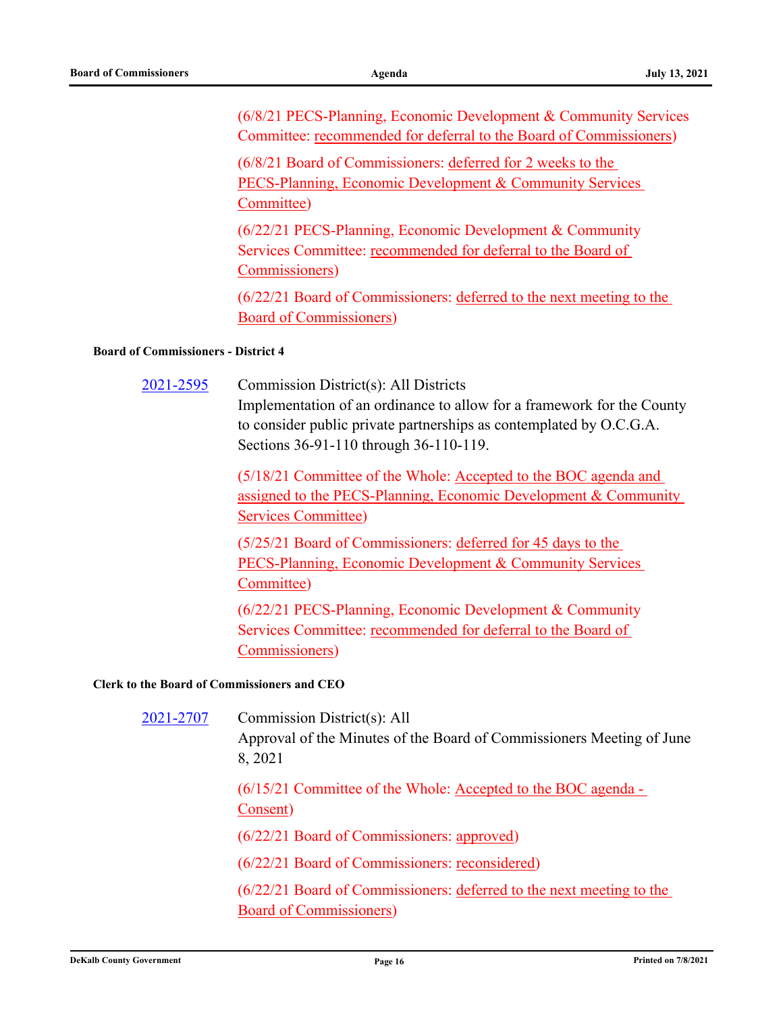(6/8/21 PECS-Planning, Economic Development & Community Services Committee: recommended for deferral to the Board of Commissioners)

(6/8/21 Board of Commissioners: deferred for 2 weeks to the PECS-Planning, Economic Development & Community Services Committee)

(6/22/21 PECS-Planning, Economic Development & Community Services Committee: recommended for deferral to the Board of Commissioners)

(6/22/21 Board of Commissioners: deferred to the next meeting to the Board of Commissioners)

#### **Board of Commissioners - District 4**

[2021-2595](http://dekalbcountyga.legistar.com/gateway.aspx?m=l&id=/matter.aspx?key=8831)

Commission District(s): All Districts

Implementation of an ordinance to allow for a framework for the County to consider public private partnerships as contemplated by O.C.G.A. Sections 36-91-110 through 36-110-119.

(5/18/21 Committee of the Whole: Accepted to the BOC agenda and assigned to the PECS-Planning, Economic Development & Community Services Committee)

(5/25/21 Board of Commissioners: deferred for 45 days to the PECS-Planning, Economic Development & Community Services Committee)

(6/22/21 PECS-Planning, Economic Development & Community Services Committee: recommended for deferral to the Board of Commissioners)

#### **Clerk to the Board of Commissioners and CEO**

| 2021-2707 | Commission District(s): All<br>Approval of the Minutes of the Board of Commissioners Meeting of June<br>8, 2021 |
|-----------|-----------------------------------------------------------------------------------------------------------------|
|           | $(6/15/21$ Committee of the Whole: Accepted to the BOC agenda -<br>Consent)                                     |
|           | (6/22/21 Board of Commissioners: approved)                                                                      |
|           | (6/22/21 Board of Commissioners: reconsidered)                                                                  |
|           | (6/22/21 Board of Commissioners: deferred to the next meeting to the<br><b>Board of Commissioners</b> )         |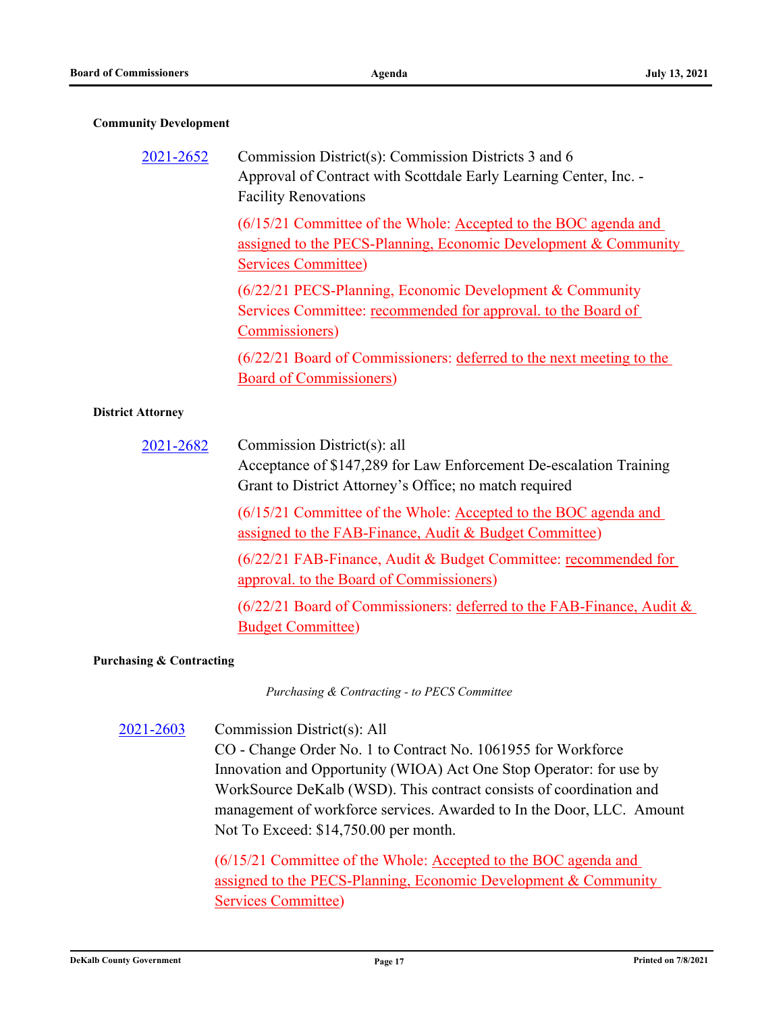#### **Community Development**

| 2021-2652                | Commission District(s): Commission Districts 3 and 6<br>Approval of Contract with Scottdale Early Learning Center, Inc. -<br><b>Facility Renovations</b>         |
|--------------------------|------------------------------------------------------------------------------------------------------------------------------------------------------------------|
|                          | (6/15/21 Committee of the Whole: Accepted to the BOC agenda and<br>assigned to the PECS-Planning, Economic Development & Community<br><b>Services Committee)</b> |
|                          | (6/22/21 PECS-Planning, Economic Development & Community<br>Services Committee: recommended for approval. to the Board of<br>Commissioners)                      |
|                          | (6/22/21 Board of Commissioners: deferred to the next meeting to the<br><b>Board of Commissioners)</b>                                                           |
| <b>District Attorney</b> |                                                                                                                                                                  |
| 2021-2682                | Commission District(s): all<br>Acceptance of \$147,289 for Law Enforcement De-escalation Training<br>Grant to District Attorney's Office; no match required      |
|                          | (6/15/21 Committee of the Whole: Accepted to the BOC agenda and<br>assigned to the FAB-Finance, Audit & Budget Committee)                                        |
|                          | (6/22/21 FAB-Finance, Audit & Budget Committee: recommended for<br>approval. to the Board of Commissioners)                                                      |
|                          | (6/22/21 Board of Commissioners: deferred to the FAB-Finance, Audit &<br><b>Budget Committee)</b>                                                                |

#### **Purchasing & Contracting**

*Purchasing & Contracting - to PECS Committee*

Commission District(s): All CO - Change Order No. 1 to Contract No. 1061955 for Workforce Innovation and Opportunity (WIOA) Act One Stop Operator: for use by WorkSource DeKalb (WSD). This contract consists of coordination and management of workforce services. Awarded to In the Door, LLC. Amount Not To Exceed: \$14,750.00 per month. [2021-2603](http://dekalbcountyga.legistar.com/gateway.aspx?m=l&id=/matter.aspx?key=8839)

> (6/15/21 Committee of the Whole: Accepted to the BOC agenda and assigned to the PECS-Planning, Economic Development & Community Services Committee)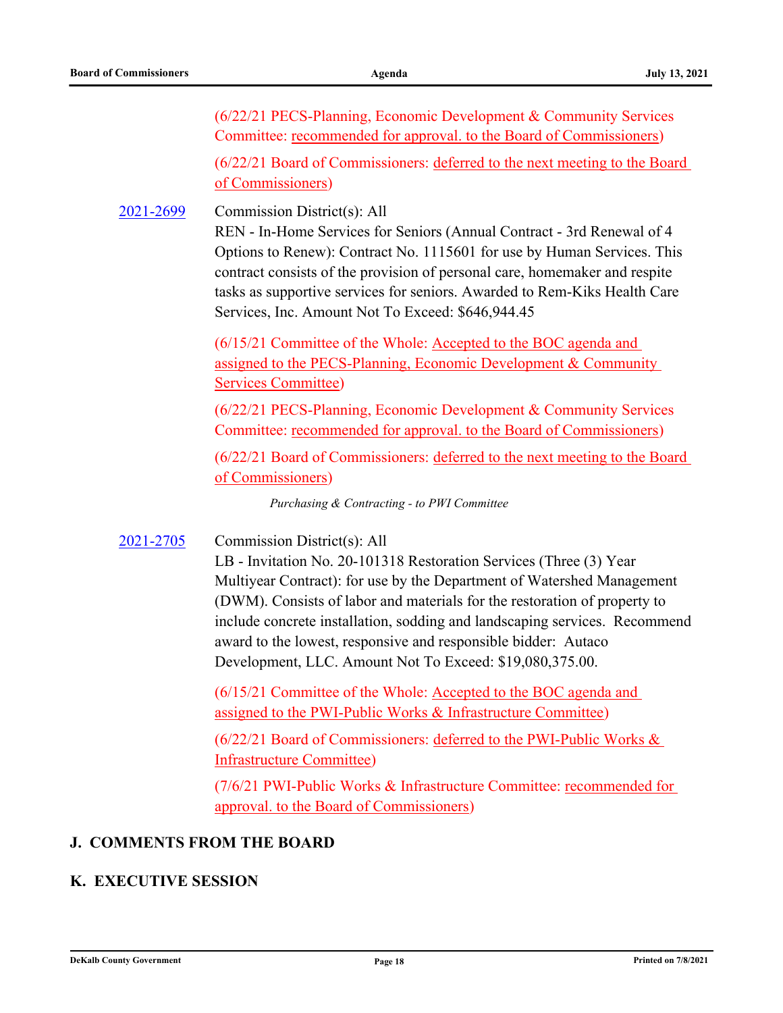(6/22/21 PECS-Planning, Economic Development & Community Services Committee: recommended for approval. to the Board of Commissioners)

(6/22/21 Board of Commissioners: deferred to the next meeting to the Board of Commissioners)

Commission District(s): All [2021-2699](http://dekalbcountyga.legistar.com/gateway.aspx?m=l&id=/matter.aspx?key=8935)

> REN - In-Home Services for Seniors (Annual Contract - 3rd Renewal of 4 Options to Renew): Contract No. 1115601 for use by Human Services. This contract consists of the provision of personal care, homemaker and respite tasks as supportive services for seniors. Awarded to Rem-Kiks Health Care Services, Inc. Amount Not To Exceed: \$646,944.45

(6/15/21 Committee of the Whole: Accepted to the BOC agenda and assigned to the PECS-Planning, Economic Development & Community Services Committee)

(6/22/21 PECS-Planning, Economic Development & Community Services Committee: recommended for approval. to the Board of Commissioners)

(6/22/21 Board of Commissioners: deferred to the next meeting to the Board of Commissioners)

*Purchasing & Contracting - to PWI Committee*

Commission District(s): All [2021-2705](http://dekalbcountyga.legistar.com/gateway.aspx?m=l&id=/matter.aspx?key=8941)

> LB - Invitation No. 20-101318 Restoration Services (Three (3) Year Multiyear Contract): for use by the Department of Watershed Management (DWM). Consists of labor and materials for the restoration of property to include concrete installation, sodding and landscaping services. Recommend award to the lowest, responsive and responsible bidder: Autaco Development, LLC. Amount Not To Exceed: \$19,080,375.00.

(6/15/21 Committee of the Whole: Accepted to the BOC agenda and assigned to the PWI-Public Works & Infrastructure Committee)

(6/22/21 Board of Commissioners: deferred to the PWI-Public Works & Infrastructure Committee)

(7/6/21 PWI-Public Works & Infrastructure Committee: recommended for approval. to the Board of Commissioners)

# **J. COMMENTS FROM THE BOARD**

# **K. EXECUTIVE SESSION**